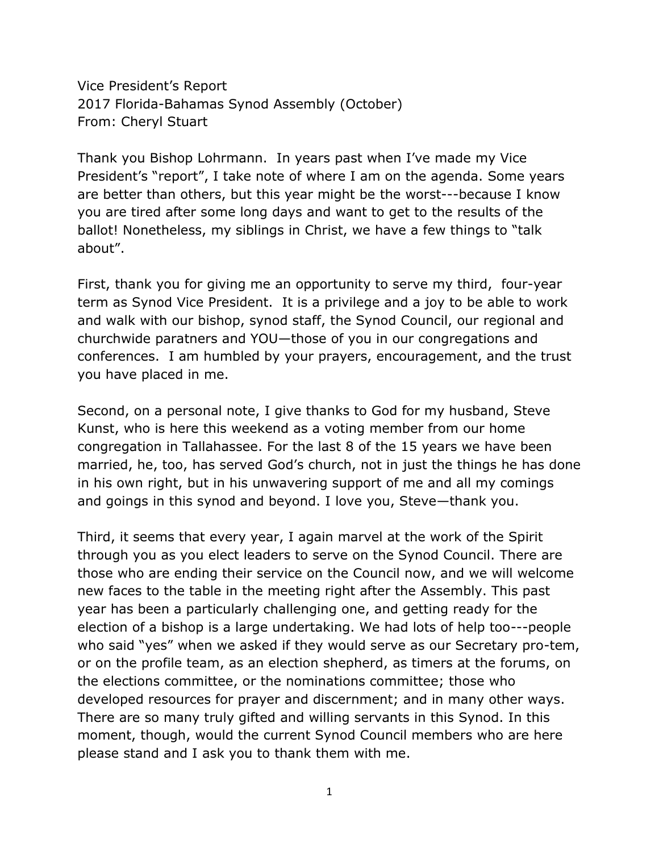Vice President's Report 2017 Florida-Bahamas Synod Assembly (October) From: Cheryl Stuart

Thank you Bishop Lohrmann. In years past when I've made my Vice President's "report", I take note of where I am on the agenda. Some years are better than others, but this year might be the worst---because I know you are tired after some long days and want to get to the results of the ballot! Nonetheless, my siblings in Christ, we have a few things to "talk about".

First, thank you for giving me an opportunity to serve my third, four-year term as Synod Vice President. It is a privilege and a joy to be able to work and walk with our bishop, synod staff, the Synod Council, our regional and churchwide paratners and YOU—those of you in our congregations and conferences. I am humbled by your prayers, encouragement, and the trust you have placed in me.

Second, on a personal note, I give thanks to God for my husband, Steve Kunst, who is here this weekend as a voting member from our home congregation in Tallahassee. For the last 8 of the 15 years we have been married, he, too, has served God's church, not in just the things he has done in his own right, but in his unwavering support of me and all my comings and goings in this synod and beyond. I love you, Steve—thank you.

Third, it seems that every year, I again marvel at the work of the Spirit through you as you elect leaders to serve on the Synod Council. There are those who are ending their service on the Council now, and we will welcome new faces to the table in the meeting right after the Assembly. This past year has been a particularly challenging one, and getting ready for the election of a bishop is a large undertaking. We had lots of help too---people who said "yes" when we asked if they would serve as our Secretary pro-tem, or on the profile team, as an election shepherd, as timers at the forums, on the elections committee, or the nominations committee; those who developed resources for prayer and discernment; and in many other ways. There are so many truly gifted and willing servants in this Synod. In this moment, though, would the current Synod Council members who are here please stand and I ask you to thank them with me.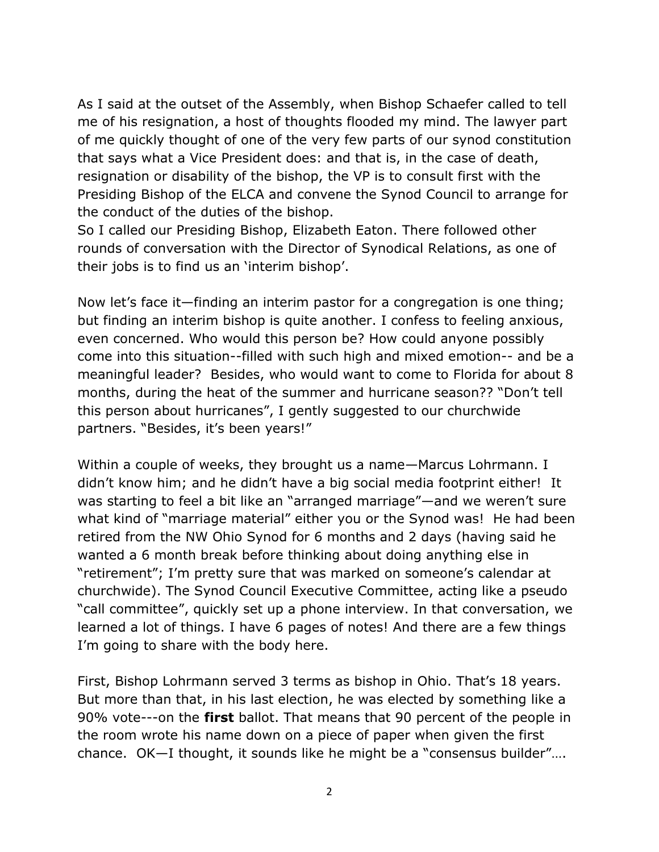As I said at the outset of the Assembly, when Bishop Schaefer called to tell me of his resignation, a host of thoughts flooded my mind. The lawyer part of me quickly thought of one of the very few parts of our synod constitution that says what a Vice President does: and that is, in the case of death, resignation or disability of the bishop, the VP is to consult first with the Presiding Bishop of the ELCA and convene the Synod Council to arrange for the conduct of the duties of the bishop.

So I called our Presiding Bishop, Elizabeth Eaton. There followed other rounds of conversation with the Director of Synodical Relations, as one of their jobs is to find us an 'interim bishop'.

Now let's face it—finding an interim pastor for a congregation is one thing; but finding an interim bishop is quite another. I confess to feeling anxious, even concerned. Who would this person be? How could anyone possibly come into this situation--filled with such high and mixed emotion-- and be a meaningful leader? Besides, who would want to come to Florida for about 8 months, during the heat of the summer and hurricane season?? "Don't tell this person about hurricanes", I gently suggested to our churchwide partners. "Besides, it's been years!"

Within a couple of weeks, they brought us a name—Marcus Lohrmann. I didn't know him; and he didn't have a big social media footprint either! It was starting to feel a bit like an "arranged marriage"—and we weren't sure what kind of "marriage material" either you or the Synod was! He had been retired from the NW Ohio Synod for 6 months and 2 days (having said he wanted a 6 month break before thinking about doing anything else in "retirement"; I'm pretty sure that was marked on someone's calendar at churchwide). The Synod Council Executive Committee, acting like a pseudo "call committee", quickly set up a phone interview. In that conversation, we learned a lot of things. I have 6 pages of notes! And there are a few things I'm going to share with the body here.

First, Bishop Lohrmann served 3 terms as bishop in Ohio. That's 18 years. But more than that, in his last election, he was elected by something like a 90% vote---on the **first** ballot. That means that 90 percent of the people in the room wrote his name down on a piece of paper when given the first chance. OK—I thought, it sounds like he might be a "consensus builder"….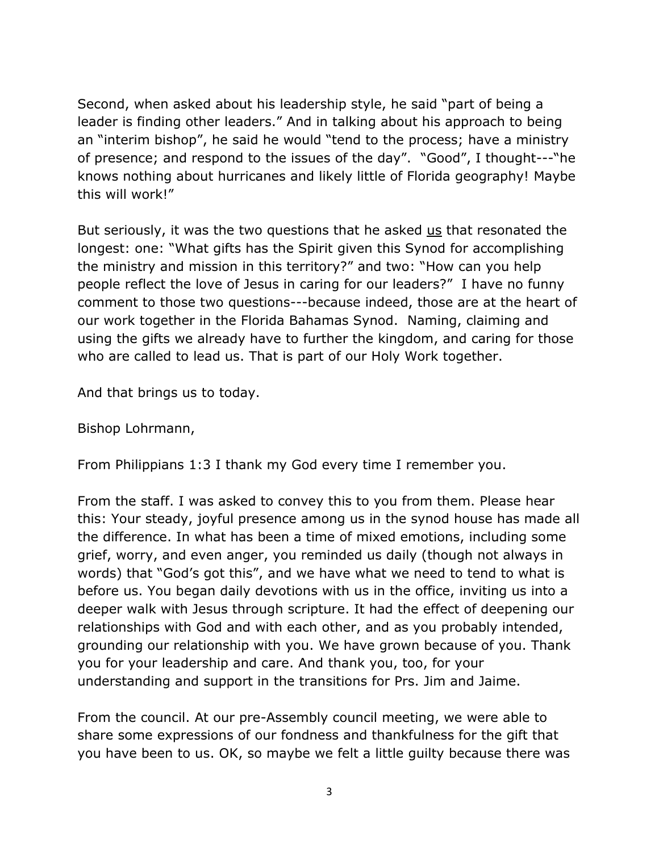Second, when asked about his leadership style, he said "part of being a leader is finding other leaders." And in talking about his approach to being an "interim bishop", he said he would "tend to the process; have a ministry of presence; and respond to the issues of the day". "Good", I thought---"he knows nothing about hurricanes and likely little of Florida geography! Maybe this will work!"

But seriously, it was the two questions that he asked us that resonated the longest: one: "What gifts has the Spirit given this Synod for accomplishing the ministry and mission in this territory?" and two: "How can you help people reflect the love of Jesus in caring for our leaders?" I have no funny comment to those two questions---because indeed, those are at the heart of our work together in the Florida Bahamas Synod. Naming, claiming and using the gifts we already have to further the kingdom, and caring for those who are called to lead us. That is part of our Holy Work together.

And that brings us to today.

Bishop Lohrmann,

From Philippians 1:3 I thank my God every time I remember you.

From the staff. I was asked to convey this to you from them. Please hear this: Your steady, joyful presence among us in the synod house has made all the difference. In what has been a time of mixed emotions, including some grief, worry, and even anger, you reminded us daily (though not always in words) that "God's got this", and we have what we need to tend to what is before us. You began daily devotions with us in the office, inviting us into a deeper walk with Jesus through scripture. It had the effect of deepening our relationships with God and with each other, and as you probably intended, grounding our relationship with you. We have grown because of you. Thank you for your leadership and care. And thank you, too, for your understanding and support in the transitions for Prs. Jim and Jaime.

From the council. At our pre-Assembly council meeting, we were able to share some expressions of our fondness and thankfulness for the gift that you have been to us. OK, so maybe we felt a little guilty because there was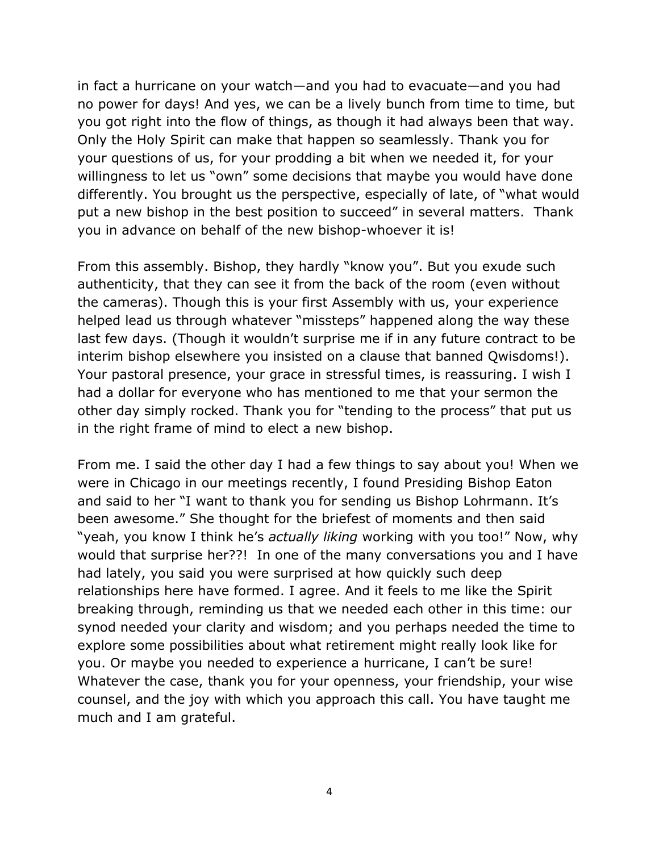in fact a hurricane on your watch—and you had to evacuate—and you had no power for days! And yes, we can be a lively bunch from time to time, but you got right into the flow of things, as though it had always been that way. Only the Holy Spirit can make that happen so seamlessly. Thank you for your questions of us, for your prodding a bit when we needed it, for your willingness to let us "own" some decisions that maybe you would have done differently. You brought us the perspective, especially of late, of "what would put a new bishop in the best position to succeed" in several matters. Thank you in advance on behalf of the new bishop-whoever it is!

From this assembly. Bishop, they hardly "know you". But you exude such authenticity, that they can see it from the back of the room (even without the cameras). Though this is your first Assembly with us, your experience helped lead us through whatever "missteps" happened along the way these last few days. (Though it wouldn't surprise me if in any future contract to be interim bishop elsewhere you insisted on a clause that banned Qwisdoms!). Your pastoral presence, your grace in stressful times, is reassuring. I wish I had a dollar for everyone who has mentioned to me that your sermon the other day simply rocked. Thank you for "tending to the process" that put us in the right frame of mind to elect a new bishop.

From me. I said the other day I had a few things to say about you! When we were in Chicago in our meetings recently, I found Presiding Bishop Eaton and said to her "I want to thank you for sending us Bishop Lohrmann. It's been awesome." She thought for the briefest of moments and then said "yeah, you know I think he's *actually liking* working with you too!" Now, why would that surprise her??! In one of the many conversations you and I have had lately, you said you were surprised at how quickly such deep relationships here have formed. I agree. And it feels to me like the Spirit breaking through, reminding us that we needed each other in this time: our synod needed your clarity and wisdom; and you perhaps needed the time to explore some possibilities about what retirement might really look like for you. Or maybe you needed to experience a hurricane, I can't be sure! Whatever the case, thank you for your openness, your friendship, your wise counsel, and the joy with which you approach this call. You have taught me much and I am grateful.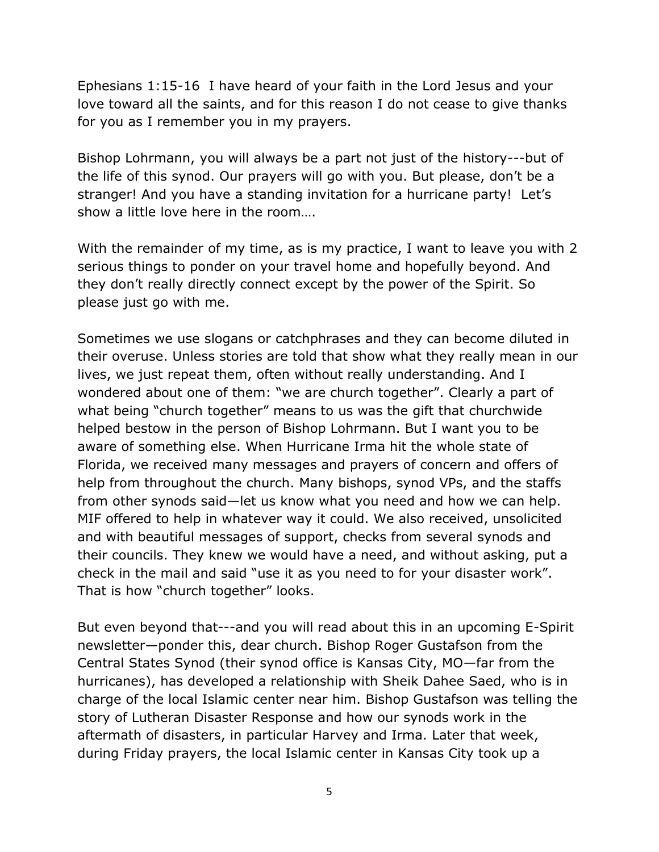Ephesians 1:15-16 I have heard of your faith in the Lord Jesus and your love toward all the saints, and for this reason I do not cease to give thanks for you as I remember you in my prayers.

Bishop Lohrmann, you will always be a part not just of the history---but of the life of this synod. Our prayers will go with you. But please, don't be a stranger! And you have a standing invitation for a hurricane party! Let's show a little love here in the room….

With the remainder of my time, as is my practice, I want to leave you with 2 serious things to ponder on your travel home and hopefully beyond. And they don't really directly connect except by the power of the Spirit. So please just go with me.

Sometimes we use slogans or catchphrases and they can become diluted in their overuse. Unless stories are told that show what they really mean in our lives, we just repeat them, often without really understanding. And I wondered about one of them: "we are church together". Clearly a part of what being "church together" means to us was the gift that churchwide helped bestow in the person of Bishop Lohrmann. But I want you to be aware of something else. When Hurricane Irma hit the whole state of Florida, we received many messages and prayers of concern and offers of help from throughout the church. Many bishops, synod VPs, and the staffs from other synods said—let us know what you need and how we can help. MIF offered to help in whatever way it could. We also received, unsolicited and with beautiful messages of support, checks from several synods and their councils. They knew we would have a need, and without asking, put a check in the mail and said "use it as you need to for your disaster work". That is how "church together" looks.

But even beyond that---and you will read about this in an upcoming E-Spirit newsletter—ponder this, dear church. Bishop Roger Gustafson from the Central States Synod (their synod office is Kansas City, MO—far from the hurricanes), has developed a relationship with Sheik Dahee Saed, who is in charge of the local Islamic center near him. Bishop Gustafson was telling the story of Lutheran Disaster Response and how our synods work in the aftermath of disasters, in particular Harvey and Irma. Later that week, during Friday prayers, the local Islamic center in Kansas City took up a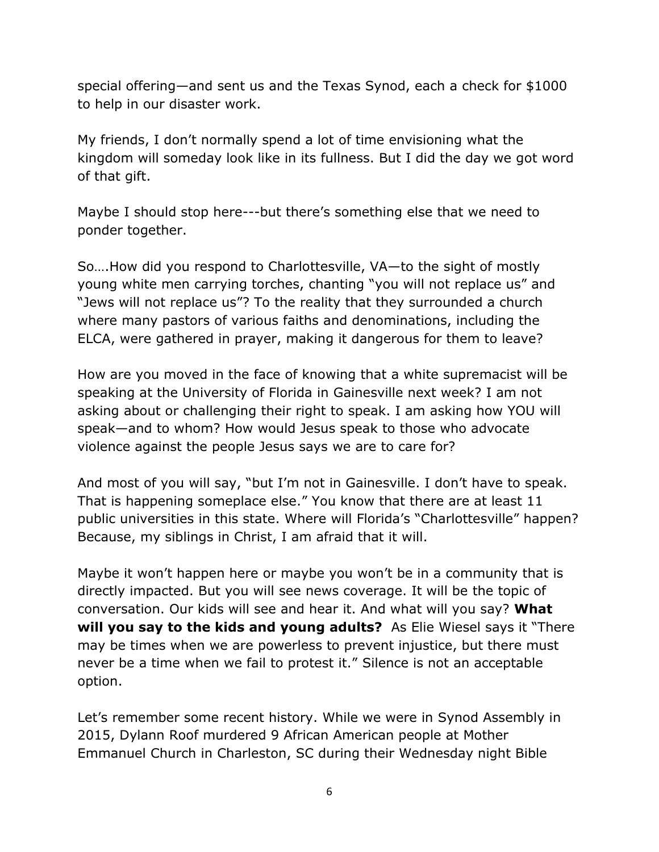special offering—and sent us and the Texas Synod, each a check for \$1000 to help in our disaster work.

My friends, I don't normally spend a lot of time envisioning what the kingdom will someday look like in its fullness. But I did the day we got word of that gift.

Maybe I should stop here---but there's something else that we need to ponder together.

So….How did you respond to Charlottesville, VA—to the sight of mostly young white men carrying torches, chanting "you will not replace us" and "Jews will not replace us"? To the reality that they surrounded a church where many pastors of various faiths and denominations, including the ELCA, were gathered in prayer, making it dangerous for them to leave?

How are you moved in the face of knowing that a white supremacist will be speaking at the University of Florida in Gainesville next week? I am not asking about or challenging their right to speak. I am asking how YOU will speak—and to whom? How would Jesus speak to those who advocate violence against the people Jesus says we are to care for?

And most of you will say, "but I'm not in Gainesville. I don't have to speak. That is happening someplace else." You know that there are at least 11 public universities in this state. Where will Florida's "Charlottesville" happen? Because, my siblings in Christ, I am afraid that it will.

Maybe it won't happen here or maybe you won't be in a community that is directly impacted. But you will see news coverage. It will be the topic of conversation. Our kids will see and hear it. And what will you say? **What will you say to the kids and young adults?** As Elie Wiesel says it "There may be times when we are powerless to prevent injustice, but there must never be a time when we fail to protest it." Silence is not an acceptable option.

Let's remember some recent history. While we were in Synod Assembly in 2015, Dylann Roof murdered 9 African American people at Mother Emmanuel Church in Charleston, SC during their Wednesday night Bible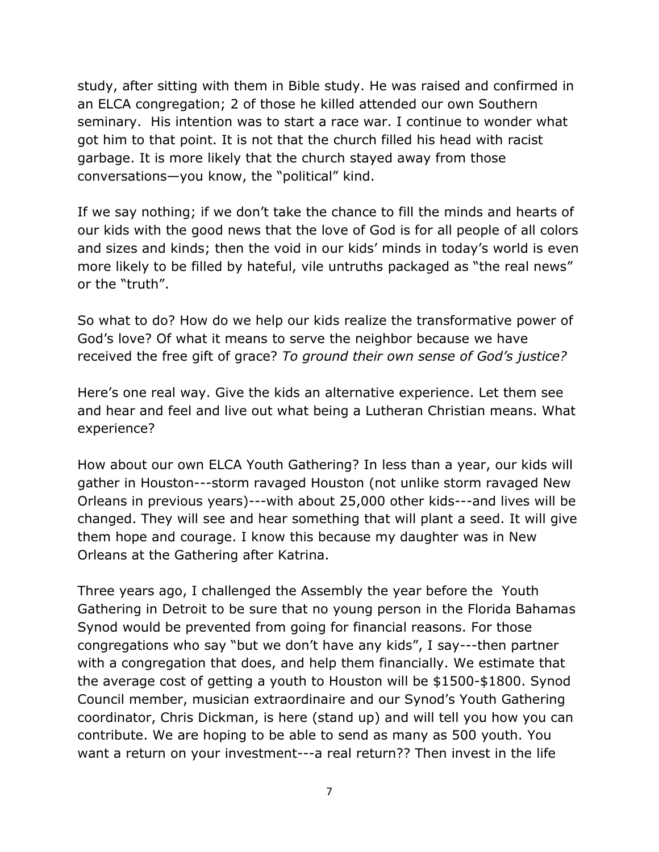study, after sitting with them in Bible study. He was raised and confirmed in an ELCA congregation; 2 of those he killed attended our own Southern seminary. His intention was to start a race war. I continue to wonder what got him to that point. It is not that the church filled his head with racist garbage. It is more likely that the church stayed away from those conversations—you know, the "political" kind.

If we say nothing; if we don't take the chance to fill the minds and hearts of our kids with the good news that the love of God is for all people of all colors and sizes and kinds; then the void in our kids' minds in today's world is even more likely to be filled by hateful, vile untruths packaged as "the real news" or the "truth".

So what to do? How do we help our kids realize the transformative power of God's love? Of what it means to serve the neighbor because we have received the free gift of grace? *To ground their own sense of God's justice?*

Here's one real way. Give the kids an alternative experience. Let them see and hear and feel and live out what being a Lutheran Christian means. What experience?

How about our own ELCA Youth Gathering? In less than a year, our kids will gather in Houston---storm ravaged Houston (not unlike storm ravaged New Orleans in previous years)---with about 25,000 other kids---and lives will be changed. They will see and hear something that will plant a seed. It will give them hope and courage. I know this because my daughter was in New Orleans at the Gathering after Katrina.

Three years ago, I challenged the Assembly the year before the Youth Gathering in Detroit to be sure that no young person in the Florida Bahamas Synod would be prevented from going for financial reasons. For those congregations who say "but we don't have any kids", I say---then partner with a congregation that does, and help them financially. We estimate that the average cost of getting a youth to Houston will be \$1500-\$1800. Synod Council member, musician extraordinaire and our Synod's Youth Gathering coordinator, Chris Dickman, is here (stand up) and will tell you how you can contribute. We are hoping to be able to send as many as 500 youth. You want a return on your investment---a real return?? Then invest in the life